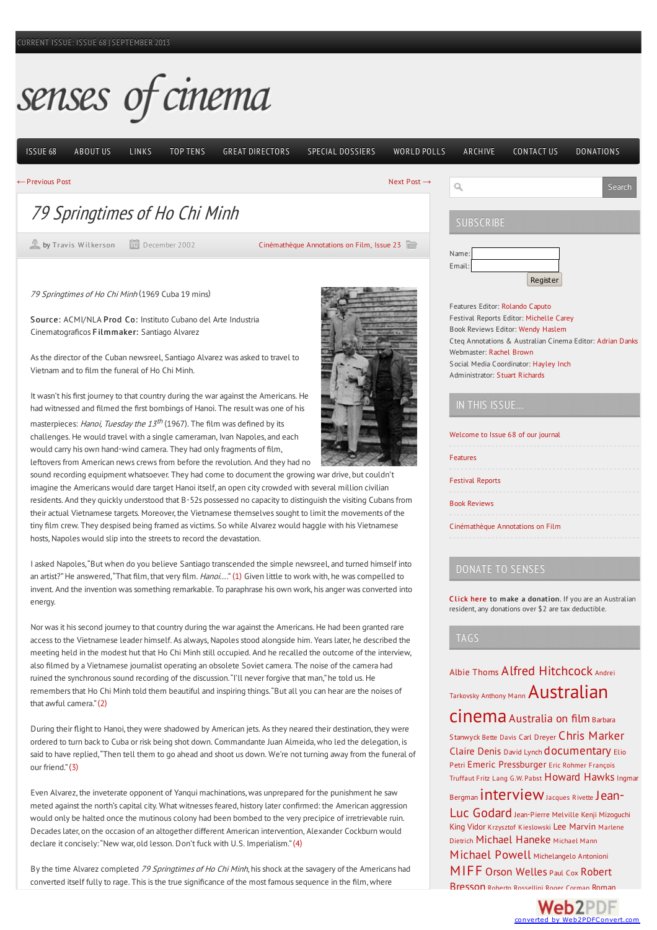# senses of cinema

[ISSUE](http://sensesofcinema.com/) 68 [ABOUT](http://sensesofcinema.com/about/) US [LINKS](http://sensesofcinema.com/links/) TOP [TENS](http://sensesofcinema.com/top-tens/) GREAT [DIRECTORS](http://sensesofcinema.com/great-directors/) SPECIAL [DOSSIERS](http://sensesofcinema.com/special-dossiers/) [WORLD](http://sensesofcinema.com/world-polls/) POLLS [ARCHIVE](http://sensesofcinema.com/archive/) [CONTACT](http://sensesofcinema.com/about/contact-us/) US [DONATIONS](http://sensesofcinema.com/about/donations/)

Register

Search

←[Previous](http://sensesofcinema.com/2002/23/symposium3/) Post [Next](http://sensesofcinema.com/2003/cteq/utamaro/) Post →

79 Springtimes of Ho Chi Minh

by Travis [Wilkerson](http://sensesofcinema.com/author/travis-wilkerson/) **December 2002** 

[Cinémathèque](http://sensesofcinema.com/issue/cteq/) Annotations on Film, [Issue](http://sensesofcinema.com/issue/23/) 23

<sup>79</sup> Springtimes of Ho Chi Minh (1969 Cuba 19 mins)

Source: ACMI/NLA Prod Co: Instituto Cubano del Arte Industria Cinematograficos Filmmaker: Santiago Alvarez

As the director of the Cuban newsreel, Santiago Alvarez was asked to travel to Vietnam and to film the funeral of Ho Chi Minh.

It wasn't his first journey to that country during the war against the Americans. He had witnessed and filmed the first bombings of Hanoi. The result was one of his masterpieces: *Hanoi, Tuesday the 13<sup>th</sup>* (1967). The film was defined by its challenges. He would travel with a single cameraman, Ivan Napoles, and each would carry his own hand-wind camera. They had only fragments of film,

leftovers from American news crews from before the revolution. And they had no

sound recording equipment whatsoever. They had come to document the growing war drive, but couldn't imagine the Americans would dare target Hanoi itself, an open city crowded with several million civilian residents. And they quickly understood that B-52s possessed no capacity to distinguish the visiting Cubans from their actual Vietnamese targets. Moreover, the Vietnamese themselves sought to limit the movements of the tiny film crew. They despised being framed as victims. So while Alvarez would haggle with his Vietnamese hosts, Napoles would slip into the streets to record the devastation.

Iasked Napoles,"But when do you believe Santiago transcended the simple newsreel,and turned himself into an artist?" He answered, "That film, that very film. Hanoi..." [\(1\)](#page-1-0) Given little to work with, he was compelled to invent. And the invention was something remarkable. To paraphrase his own work, his anger was converted into energy.

Nor was it his second journey to that country during the war against the Americans. He had been granted rare access to the Vietnamese leader himself. As always, Napoles stood alongside him. Years later, he described the meeting held in the modest hut that Ho Chi Minh still occupied. And he recalled the outcome of the interview, also filmed by a Vietnamese journalist operating an obsolete Soviet camera. The noise of the camera had ruined the synchronoussound recording of the discussion."I'll never forgive thatman,"he told us. He remembers that Ho Chi Minh told them beautiful and inspiring things. "But all you can hear are the noises of that awful camera" $(2)$ 

During their flight to Hanoi, they were shadowed by American jets. As they neared their destination, they were ordered to turn backto Cuba or risk being shot down. Commandante Juan Almeida,who led the delegation, is said to have replied, "Then tell them to go ahead and shoot us down. We're not turning away from the funeral of  $O(1)$  friend<sup>"</sup> $(3)$ 

Even Alvarez, the inveterate opponent of Yanqui machinations, was unprepared for the punishment he saw meted against the north's capital city. What witnesses feared, history later confirmed: the American aggression would only be halted once the mutinous colony had been bombed to the very precipice of irretrievable ruin. Decades later, on the occasion of an altogether different American intervention, Alexander Cockburn would declare it concisely: "New war, old lesson. Don't fuck with U.S. Imperialism." [\(4\)](#page-1-3)

By the time Alvarez completed 79 Springtimes of Ho Chi Minh, his shock at the savagery of the Americans had converted itself fully to rage. This is the true significance of the most famous sequence in the film, where





Name: Email:

 $\alpha$ 

**SUBSCRIBE** 

## IN THIS ISSUE…

| Welcome to Issue 68 of our journal |  |
|------------------------------------|--|
| Features                           |  |
| <b>Festival Reports</b>            |  |
| <b>Book Reviews</b>                |  |
| Cinémathèque Annotations on Film   |  |
|                                    |  |

#### DONATE TO SENSES

C lick [here](http://sensesofcinema.com/about/donations) to make a donation. If you are an Australian resident,any donations over \$2 are tax deductible.

#### TAGS

Albie [Thoms](http://sensesofcinema.com/tag/albie-thoms-2/) Alfred [Hitchcock](http://sensesofcinema.com/tag/alfred-hitchcock/) Andrei Tarkovsky [Anthony](http://sensesofcinema.com/tag/anthony-mann/) Mann [Australian](http://sensesofcinema.com/tag/australian-cinema/)

CINEMA [Australia](http://sensesofcinema.com/tag/australia-on-film/) on film Barbara Stanwyck Bette [Davis](http://sensesofcinema.com/tag/bette-davis/) Carl [Dreyer](http://sensesofcinema.com/tag/carl-dreyer/) Chris [Marker](http://sensesofcinema.com/tag/chris-marker/) [Claire](http://sensesofcinema.com/tag/claire-denis/) Denis [David](http://sensesofcinema.com/tag/david-lynch/) Lynch [documentary](http://sensesofcinema.com/tag/documentary/) Elio Petri Emeric [Pressburge](http://sensesofcinema.com/tag/emeric-pressburger/)[r](http://sensesofcinema.com/tag/francois-truffaut/) Eric [Rohmer](http://sensesofcinema.com/tag/eric-rohmer/) François Truffaut Fritz [Lang](http://sensesofcinema.com/tag/fritz-lang/) G.W. [Pabst](http://sensesofcinema.com/tag/g-w-pabst/) [Howard](http://sensesofcinema.com/tag/howard-hawks/) HawksIngmar

### Bergman **[intervie](http://sensesofcinema.com/tag/interview/)[w](http://sensesofcinema.com/tag/jean-luc-godard/)** [Jacques](http://sensesofcinema.com/tag/jacques-rivette/) Rivette Jean-

Luc Godard [Jean-Pierre](http://sensesofcinema.com/tag/jean-pierre-melville/) Melville Kenji [Mizoguchi](http://sensesofcinema.com/tag/kenji-mizoguchi/) King [Vidor](http://sensesofcinema.com/tag/king-vidor/) Krzysztof [Kieslowski](http://sensesofcinema.com/tag/krzysztof-kieslowski/) Lee [Marvin](http://sensesofcinema.com/tag/lee-marvin/) Marlene Dietrich [Michael](http://sensesofcinema.com/tag/michael-mann/) Haneke Michael Mann

# [Michael](http://sensesofcinema.com/tag/michael-powell/) Powell [Michelangelo](http://sensesofcinema.com/tag/michelangelo-antonioni/) Antonioni

[MIFF](http://sensesofcinema.com/tag/miff/) Orson [Welles](http://sensesofcinema.com/tag/orson-welles/) [Paul](http://sensesofcinema.com/tag/paul-cox/) Cox Robert Bresson Roberto [Rossellini](http://sensesofcinema.com/tag/roberto-rossellini/) Roger [Corman](http://sensesofcinema.com/tag/roger-corman/) Roman

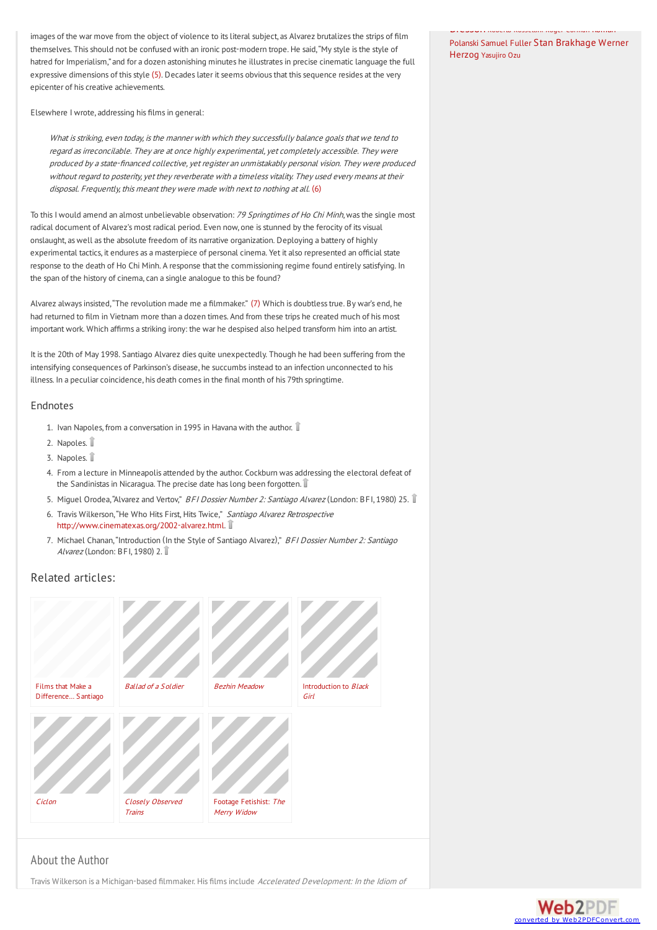images of the war move from the object of violence to its literal subject, as Alvarez brutalizes the strips of film themselves. This should not be confused with an ironic post-modern trope. He said, "My style is the style of hatred for Imperialism,"and fora dozen astonishing minutes he illustratesin precise cinematic language the full expressive dimensions of this style [\(5\)](#page-1-4). Decades later it seems obvious that this sequence resides at the very epicenter of his creative achievements.

Elsewhere I wrote, addressing his films in general:

What is striking, even today, is the manner with which they successfully balance goals that we tend to regard as irreconcilable. They are at once highly experimental, yet completely accessible. They were produced by a state-financed collective, yet register an unmistakably personal vision. They were produced without regard to posterity, yet they reverberate with a timeless vitality. They used every means at their disposal. Frequently, this meant they were made with next to nothing at all. [\(6\)](#page-1-5)

To this I would amend an almost unbelievable observation: 79 Springtimes of Ho Chi Minh, was the single most radical document of Alvarez's most radical period. Even now, one is stunned by the ferocity of its visual onslaught, as well as the absolute freedom of its narrative organization. Deploying a battery of highly experimental tactics, it endures as a masterpiece of personal cinema. Yet it also represented an official state response to the death of Ho Chi Minh. A response that the commissioning regime found entirely satisfying. In the span of the history of cinema, can a single analogue to this be found?

Alvarez always insisted, "The revolution made me a filmmaker." [\(7\)](#page-1-6) Which is doubtless true. By war's end, he had returned to film in Vietnam more than a dozen times. And from these trips he created much of his most important work. Which affirms a striking irony: the war he despised also helped transform him into an artist.

It is the 20th of May 1998. Santiago Alvarez dies quite unexpectedly. Though he had been suffering from the intensifying consequences of Parkinson's disease, he succumbs instead to an infection unconnected to his illness. In a peculiar coincidence, his death comes in the final month of his 79th springtime.

#### Endnotes

- <span id="page-1-0"></span>1. Ivan Napoles, from a conversation in 1995 in Havana with the author.  $\mathbb {I}$
- <span id="page-1-1"></span>2. Napoles.
- <span id="page-1-2"></span>3. Napoles.
- <span id="page-1-3"></span>4. From a lecture in Minneapolis attended by the author. Cockburn was addressing the electoral defeat of the Sandinistas in Nicaragua. The precise date has long been forgotten.
- <span id="page-1-4"></span>5. Miguel Orodea, "Alvarez and Vertov," BFI Dossier Number 2: Santiago Alvarez (London: BFI, 1980) 25.
- <span id="page-1-5"></span>6. Travis Wilkerson, "He Who Hits First, Hits Twice," Santiago Alvarez Retrospective <http://www.cinematexas.org/2002-alvarez.html>.
- <span id="page-1-6"></span>7. Michael Chanan, "Introduction (In the Style of Santiago Alvarez)," BFI Dossier Number 2: Santiago Alvarez (London: BFI, 1980) 2.

#### Related articles:



### About the Author

Travis Wilkerson is a Michigan-based filmmaker. His films include Accelerated Development: In the Idiom of

Bresson Roberto Rossellini Roger Corman Roman Polanski [Samuel](http://sensesofcinema.com/tag/samuel-fuller/) Fuller Stan [Brakhage](http://sensesofcinema.com/tag/werner-herzog/) Werner Herzog [Yasujiro](http://sensesofcinema.com/tag/yasujiro-ozu/) Ozu